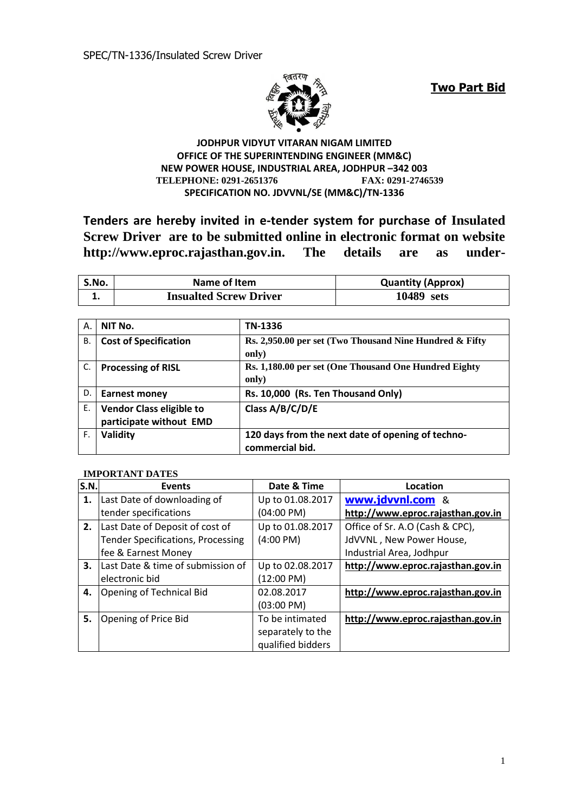

**Two Part Bid**

#### **JODHPUR VIDYUT VITARAN NIGAM LIMITED OFFICE OF THE SUPERINTENDING ENGINEER (MM&C) NEW POWER HOUSE, INDUSTRIAL AREA, JODHPUR –342 003 TELEPHONE: 0291-2651376 FAX: 0291-2746539 SPECIFICATION NO. JDVVNL/SE (MM&C)/TN-1336**

**Tenders are hereby invited in e-tender system for purchase of Insulated Screw Driver are to be submitted online in electronic format on website http://www.eproc.rajasthan.gov.in. The details are as under-**

| S.No. | Name of Item                  | <b>Quantity (Approx)</b> |
|-------|-------------------------------|--------------------------|
|       | <b>Insualted Screw Driver</b> | 10489 sets               |

| Α. | NIT No.                      | TN-1336                                                 |
|----|------------------------------|---------------------------------------------------------|
| В. | <b>Cost of Specification</b> | Rs. 2,950.00 per set (Two Thousand Nine Hundred & Fifty |
|    |                              | only)                                                   |
| C. | <b>Processing of RISL</b>    | Rs. 1,180.00 per set (One Thousand One Hundred Eighty   |
|    |                              | only)                                                   |
| D. | <b>Earnest money</b>         | Rs. 10,000 (Rs. Ten Thousand Only)                      |
| Ε. | Vendor Class eligible to     | Class A/B/C/D/E                                         |
|    | participate without EMD      |                                                         |
| F. | Validity                     | 120 days from the next date of opening of techno-       |
|    |                              | commercial bid.                                         |

#### **IMPORTANT DATES**

| S.N. | <b>Events</b>                            | Date & Time          | Location                          |
|------|------------------------------------------|----------------------|-----------------------------------|
| 1.   | Last Date of downloading of              | Up to 01.08.2017     | www.jdvvnl.com &                  |
|      | tender specifications                    | (04:00 PM)           | http://www.eproc.rajasthan.gov.in |
| 2.   | Last Date of Deposit of cost of          | Up to 01.08.2017     | Office of Sr. A.O (Cash & CPC),   |
|      | <b>Tender Specifications, Processing</b> | $(4:00 \text{ PM})$  | JdVVNL, New Power House,          |
|      | fee & Earnest Money                      |                      | Industrial Area, Jodhpur          |
| 3.   | Last Date & time of submission of        | Up to 02.08.2017     | http://www.eproc.rajasthan.gov.in |
|      | electronic bid                           | (12:00 P M)          |                                   |
| 4.   | <b>Opening of Technical Bid</b>          | 02.08.2017           | http://www.eproc.rajasthan.gov.in |
|      |                                          | $(03:00 \text{ PM})$ |                                   |
| 5.   | Opening of Price Bid                     | To be intimated      | http://www.eproc.rajasthan.gov.in |
|      |                                          | separately to the    |                                   |
|      |                                          | qualified bidders    |                                   |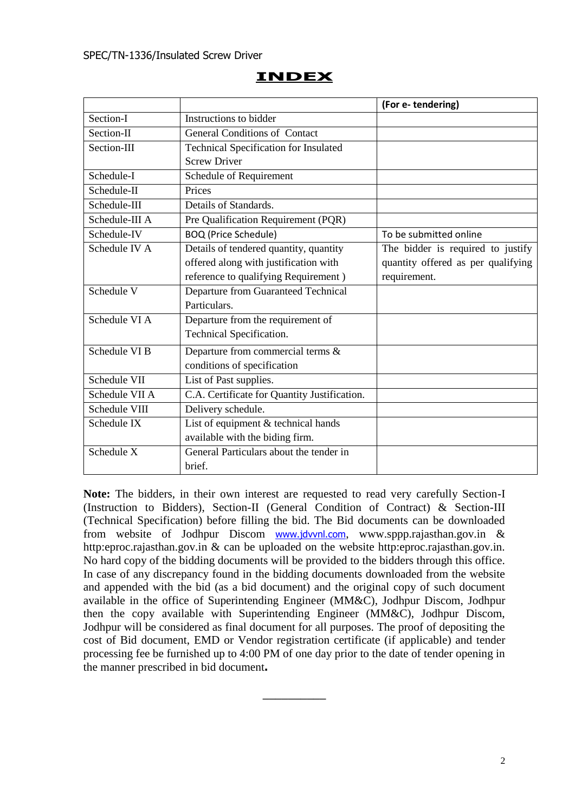# **INDEX**

|                |                                              | (For e-tendering)                  |
|----------------|----------------------------------------------|------------------------------------|
| Section-I      | Instructions to bidder                       |                                    |
| Section-II     | <b>General Conditions of Contact</b>         |                                    |
| Section-III    | Technical Specification for Insulated        |                                    |
|                | <b>Screw Driver</b>                          |                                    |
| Schedule-I     | Schedule of Requirement                      |                                    |
| Schedule-II    | Prices                                       |                                    |
| Schedule-III   | Details of Standards.                        |                                    |
| Schedule-III A | Pre Qualification Requirement (PQR)          |                                    |
| Schedule-IV    | <b>BOQ</b> (Price Schedule)                  | To be submitted online             |
| Schedule IV A  | Details of tendered quantity, quantity       | The bidder is required to justify  |
|                | offered along with justification with        | quantity offered as per qualifying |
|                | reference to qualifying Requirement)         | requirement.                       |
| Schedule V     | Departure from Guaranteed Technical          |                                    |
|                | Particulars.                                 |                                    |
| Schedule VI A  | Departure from the requirement of            |                                    |
|                | Technical Specification.                     |                                    |
| Schedule VI B  | Departure from commercial terms &            |                                    |
|                | conditions of specification                  |                                    |
| Schedule VII   | List of Past supplies.                       |                                    |
| Schedule VII A | C.A. Certificate for Quantity Justification. |                                    |
| Schedule VIII  | Delivery schedule.                           |                                    |
| Schedule IX    | List of equipment & technical hands          |                                    |
|                | available with the biding firm.              |                                    |
| Schedule X     | General Particulars about the tender in      |                                    |
|                | brief.                                       |                                    |

**Note:** The bidders, in their own interest are requested to read very carefully Section-I (Instruction to Bidders), Section-II (General Condition of Contract) & Section-III (Technical Specification) before filling the bid. The Bid documents can be downloaded from website of Jodhpur Discom [www.jdvvnl.com](http://www.jdvvnl.com/), www.sppp.rajasthan.gov.in & http:eproc.rajasthan.gov.in & can be uploaded on the website http:eproc.rajasthan.gov.in. No hard copy of the bidding documents will be provided to the bidders through this office. In case of any discrepancy found in the bidding documents downloaded from the website and appended with the bid (as a bid document) and the original copy of such document available in the office of Superintending Engineer (MM&C), Jodhpur Discom, Jodhpur then the copy available with Superintending Engineer (MM&C), Jodhpur Discom, Jodhpur will be considered as final document for all purposes. The proof of depositing the cost of Bid document, EMD or Vendor registration certificate (if applicable) and tender processing fee be furnished up to 4:00 PM of one day prior to the date of tender opening in the manner prescribed in bid document**.**

 $\overline{\phantom{a}}$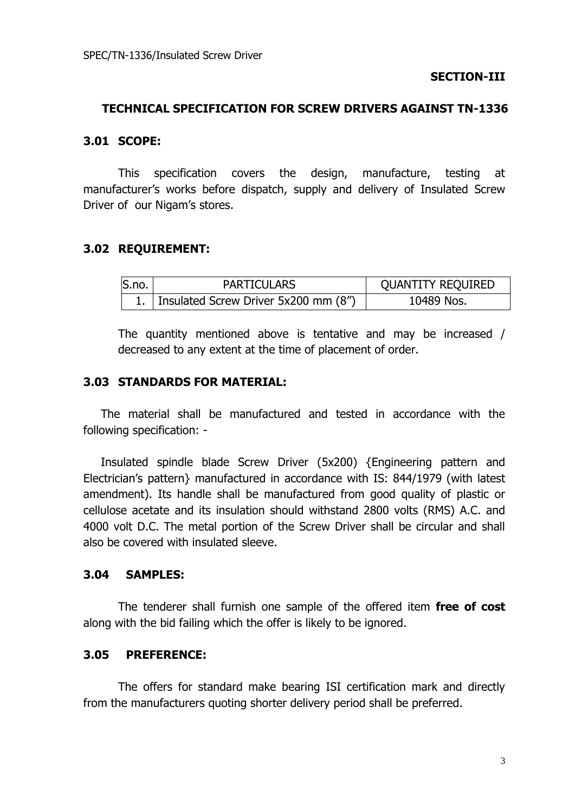# **TECHNICAL SPECIFICATION FOR SCREW DRIVERS AGAINST TN-1336**

# **3.01 SCOPE:**

This specification covers the design, manufacture, testing at manufacturer's works before dispatch, supply and delivery of Insulated Screw Driver of our Nigam's stores.

# **3.02 REQUIREMENT:**

| S.no. | <b>PARTICULARS</b>                        | <b>QUANTITY REQUIRED</b> |
|-------|-------------------------------------------|--------------------------|
|       | 1.   Insulated Screw Driver 5x200 mm (8") | 10489 Nos.               |

The quantity mentioned above is tentative and may be increased / decreased to any extent at the time of placement of order.

### **3.03 STANDARDS FOR MATERIAL:**

The material shall be manufactured and tested in accordance with the following specification: -

Insulated spindle blade Screw Driver (5x200) {Engineering pattern and Electrician's pattern} manufactured in accordance with IS: 844/1979 (with latest amendment). Its handle shall be manufactured from good quality of plastic or cellulose acetate and its insulation should withstand 2800 volts (RMS) A.C. and 4000 volt D.C. The metal portion of the Screw Driver shall be circular and shall also be covered with insulated sleeve.

### **3.04 SAMPLES:**

The tenderer shall furnish one sample of the offered item **free of cost** along with the bid failing which the offer is likely to be ignored.

# **3.05 PREFERENCE:**

The offers for standard make bearing ISI certification mark and directly from the manufacturers quoting shorter delivery period shall be preferred.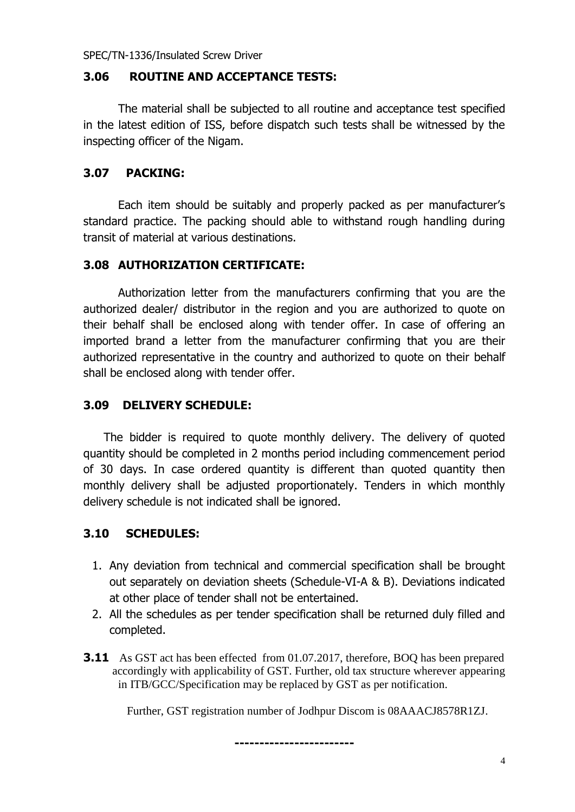SPEC/TN-1336/Insulated Screw Driver

# **3.06 ROUTINE AND ACCEPTANCE TESTS:**

The material shall be subjected to all routine and acceptance test specified in the latest edition of ISS, before dispatch such tests shall be witnessed by the inspecting officer of the Nigam.

# **3.07 PACKING:**

Each item should be suitably and properly packed as per manufacturer's standard practice. The packing should able to withstand rough handling during transit of material at various destinations.

# **3.08 AUTHORIZATION CERTIFICATE:**

Authorization letter from the manufacturers confirming that you are the authorized dealer/ distributor in the region and you are authorized to quote on their behalf shall be enclosed along with tender offer. In case of offering an imported brand a letter from the manufacturer confirming that you are their authorized representative in the country and authorized to quote on their behalf shall be enclosed along with tender offer.

# **3.09 DELIVERY SCHEDULE:**

The bidder is required to quote monthly delivery. The delivery of quoted quantity should be completed in 2 months period including commencement period of 30 days. In case ordered quantity is different than quoted quantity then monthly delivery shall be adjusted proportionately. Tenders in which monthly delivery schedule is not indicated shall be ignored.

# **3.10 SCHEDULES:**

- 1. Any deviation from technical and commercial specification shall be brought out separately on deviation sheets (Schedule-VI-A & B). Deviations indicated at other place of tender shall not be entertained.
- 2. All the schedules as per tender specification shall be returned duly filled and completed.
- **3.11** As GST act has been effected from 01.07.2017, therefore, BOQ has been prepared accordingly with applicability of GST. Further, old tax structure wherever appearing in ITB/GCC/Specification may be replaced by GST as per notification.

**------------------------**

Further, GST registration number of Jodhpur Discom is 08AAACJ8578R1ZJ.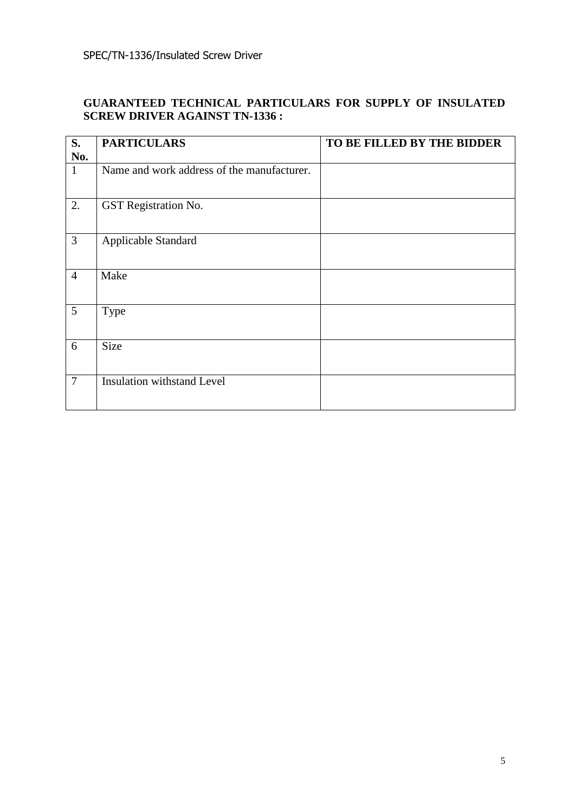#### **GUARANTEED TECHNICAL PARTICULARS FOR SUPPLY OF INSULATED SCREW DRIVER AGAINST TN-1336 :**

| S.<br>No.      | <b>PARTICULARS</b>                         | TO BE FILLED BY THE BIDDER |
|----------------|--------------------------------------------|----------------------------|
| $\mathbf{1}$   | Name and work address of the manufacturer. |                            |
| 2.             | GST Registration No.                       |                            |
| $\mathfrak{Z}$ | Applicable Standard                        |                            |
| $\overline{4}$ | Make                                       |                            |
| 5              | Type                                       |                            |
| 6              | <b>Size</b>                                |                            |
| $\overline{7}$ | <b>Insulation withstand Level</b>          |                            |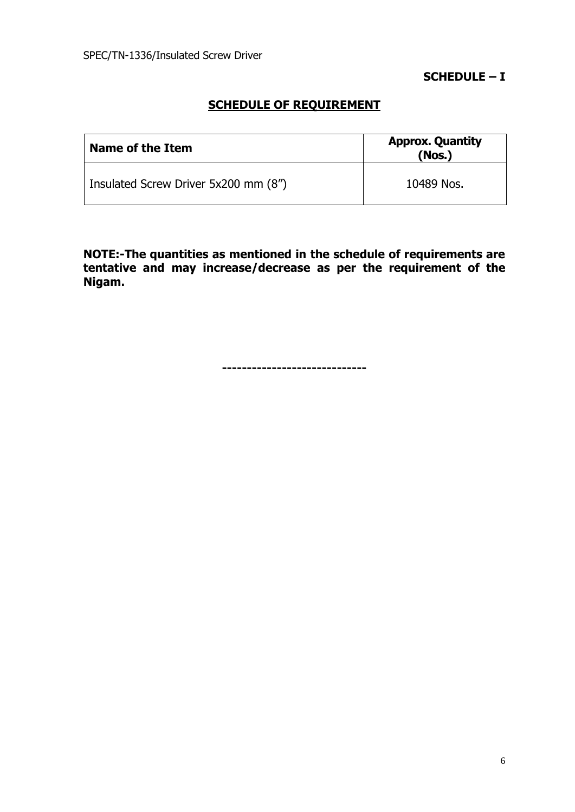**SCHEDULE – I**

# **SCHEDULE OF REQUIREMENT**

| Name of the Item                     | <b>Approx. Quantity</b><br>(Nos.) |
|--------------------------------------|-----------------------------------|
| Insulated Screw Driver 5x200 mm (8") | 10489 Nos.                        |

**NOTE:-The quantities as mentioned in the schedule of requirements are tentative and may increase/decrease as per the requirement of the Nigam.**

**-----------------------------**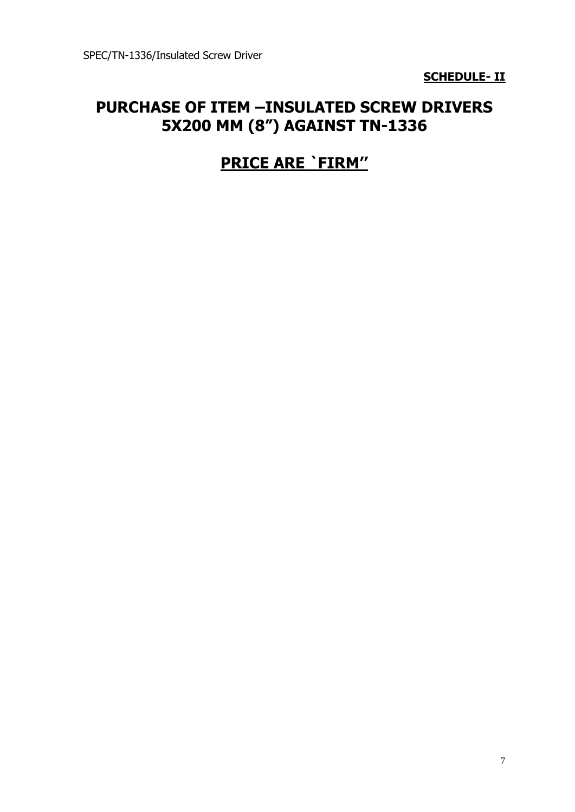**SCHEDULE- II**

# **PURCHASE OF ITEM –INSULATED SCREW DRIVERS 5X200 MM (8") AGAINST TN-1336**

# **PRICE ARE `FIRM''**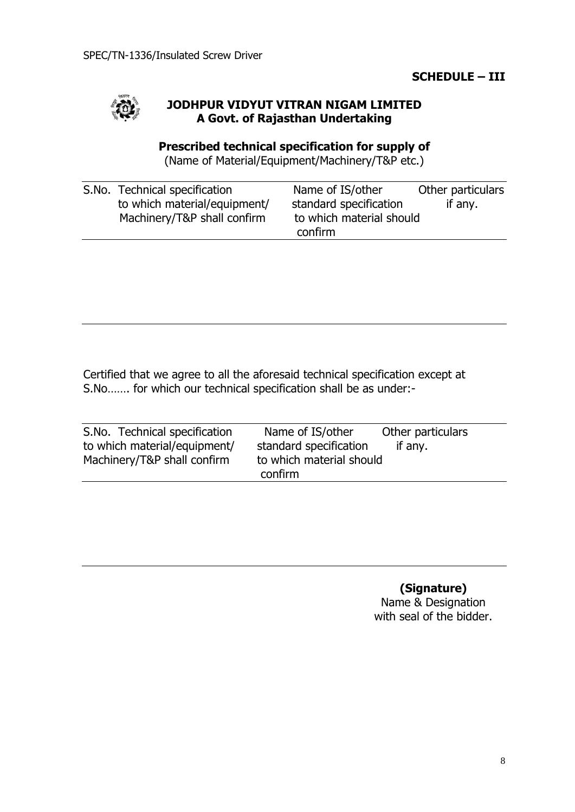# **SCHEDULE – III**



# **JODHPUR VIDYUT VITRAN NIGAM LIMITED A Govt. of Rajasthan Undertaking**

# **Prescribed technical specification for supply of**

(Name of Material/Equipment/Machinery/T&P etc.)

| S.No. Technical specification | Name of IS/other         | Other particulars |
|-------------------------------|--------------------------|-------------------|
| to which material/equipment/  | standard specification   | if any.           |
| Machinery/T&P shall confirm   | to which material should |                   |
|                               | confirm                  |                   |

Certified that we agree to all the aforesaid technical specification except at S.No……. for which our technical specification shall be as under:-

| S.No. Technical specification | Name of IS/other         | Other particulars |
|-------------------------------|--------------------------|-------------------|
| to which material/equipment/  | standard specification   | if any.           |
| Machinery/T&P shall confirm   | to which material should |                   |
|                               | confirm                  |                   |

**(Signature)** Name & Designation with seal of the bidder.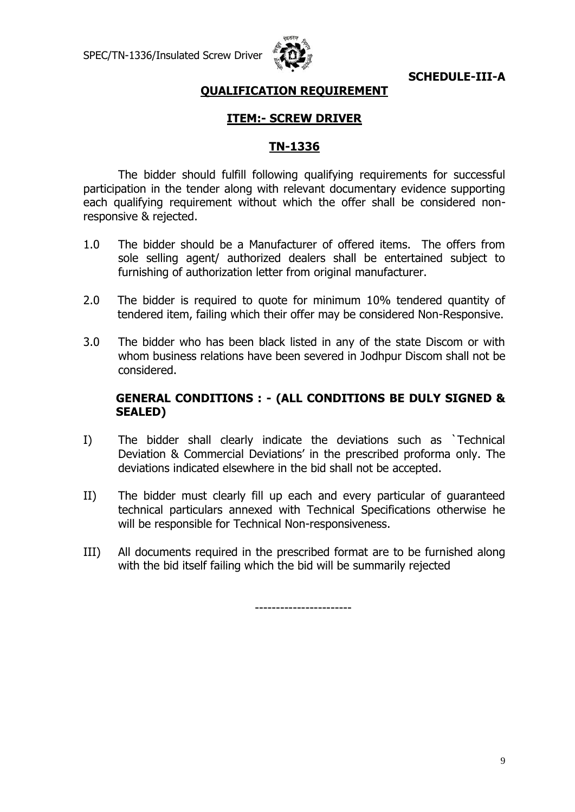

**SCHEDULE-III-A**

# **QUALIFICATION REQUIREMENT**

# **ITEM:- SCREW DRIVER**

# **TN-1336**

The bidder should fulfill following qualifying requirements for successful participation in the tender along with relevant documentary evidence supporting each qualifying requirement without which the offer shall be considered nonresponsive & rejected.

- 1.0 The bidder should be a Manufacturer of offered items. The offers from sole selling agent/ authorized dealers shall be entertained subject to furnishing of authorization letter from original manufacturer.
- 2.0 The bidder is required to quote for minimum 10% tendered quantity of tendered item, failing which their offer may be considered Non-Responsive.
- 3.0 The bidder who has been black listed in any of the state Discom or with whom business relations have been severed in Jodhpur Discom shall not be considered.

# **GENERAL CONDITIONS : - (ALL CONDITIONS BE DULY SIGNED & SEALED)**

- I) The bidder shall clearly indicate the deviations such as `Technical Deviation & Commercial Deviations' in the prescribed proforma only. The deviations indicated elsewhere in the bid shall not be accepted.
- II) The bidder must clearly fill up each and every particular of guaranteed technical particulars annexed with Technical Specifications otherwise he will be responsible for Technical Non-responsiveness.
- III) All documents required in the prescribed format are to be furnished along with the bid itself failing which the bid will be summarily rejected

-----------------------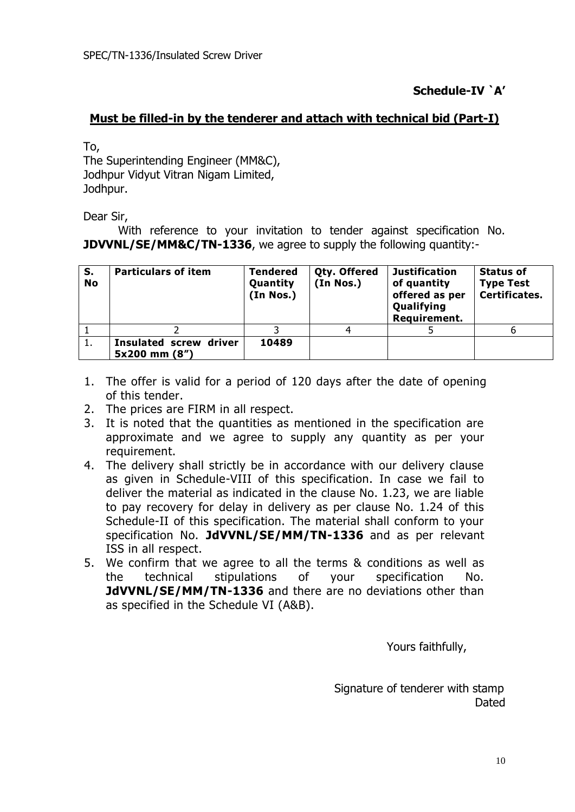# **Schedule-IV `A'**

# **Must be filled-in by the tenderer and attach with technical bid (Part-I)**

To,

The Superintending Engineer (MM&C), Jodhpur Vidyut Vitran Nigam Limited, Jodhpur.

Dear Sir,

With reference to your invitation to tender against specification No. **JDVVNL/SE/MM&C/TN-1336**, we agree to supply the following quantity:-

| S.<br><b>No</b> | <b>Particulars of item</b>                     | <b>Tendered</b><br>Quantity<br>(In Nos.) | Qty. Offered<br>(In Nos.) | <b>Justification</b><br>of quantity<br>offered as per<br>Qualifying<br>Requirement. | <b>Status of</b><br><b>Type Test</b><br><b>Certificates.</b> |
|-----------------|------------------------------------------------|------------------------------------------|---------------------------|-------------------------------------------------------------------------------------|--------------------------------------------------------------|
|                 |                                                |                                          |                           |                                                                                     |                                                              |
| <b>.</b>        | <b>Insulated screw driver</b><br>5x200 mm (8") | 10489                                    |                           |                                                                                     |                                                              |

- 1. The offer is valid for a period of 120 days after the date of opening of this tender.
- 2. The prices are FIRM in all respect.
- 3. It is noted that the quantities as mentioned in the specification are approximate and we agree to supply any quantity as per your requirement.
- 4. The delivery shall strictly be in accordance with our delivery clause as given in Schedule-VIII of this specification. In case we fail to deliver the material as indicated in the clause No. 1.23, we are liable to pay recovery for delay in delivery as per clause No. 1.24 of this Schedule-II of this specification. The material shall conform to your specification No. **JdVVNL/SE/MM/TN-1336** and as per relevant ISS in all respect.
- 5. We confirm that we agree to all the terms & conditions as well as the technical stipulations of your specification No. **JdVVNL/SE/MM/TN-1336** and there are no deviations other than as specified in the Schedule VI (A&B).

Yours faithfully,

 Signature of tenderer with stamp Dated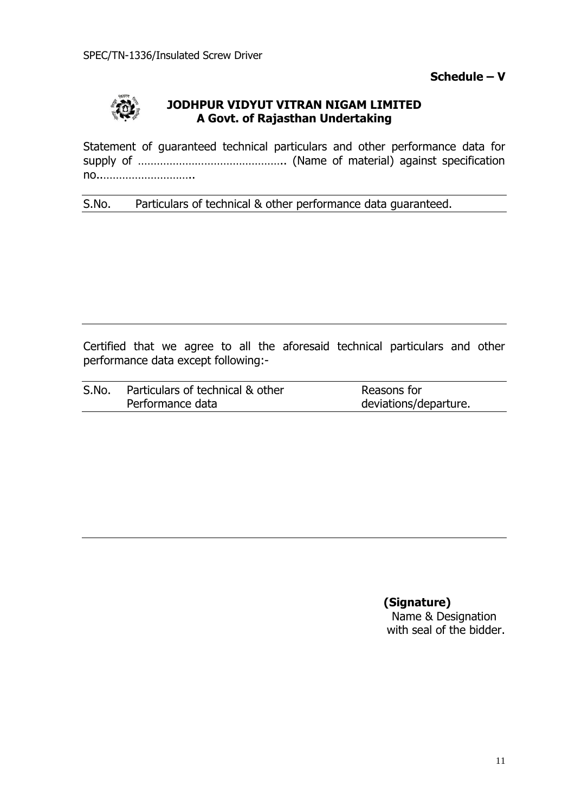**Schedule – V**



# **JODHPUR VIDYUT VITRAN NIGAM LIMITED A Govt. of Rajasthan Undertaking**

Statement of guaranteed technical particulars and other performance data for supply of ……………………………………….. (Name of material) against specification no..………………………..

S.No. Particulars of technical & other performance data guaranteed.

Certified that we agree to all the aforesaid technical particulars and other performance data except following:-

| S.No. | Particulars of technical & other | Reasons for           |
|-------|----------------------------------|-----------------------|
|       | Performance data                 | deviations/departure. |

**(Signature)**

 Name & Designation with seal of the bidder.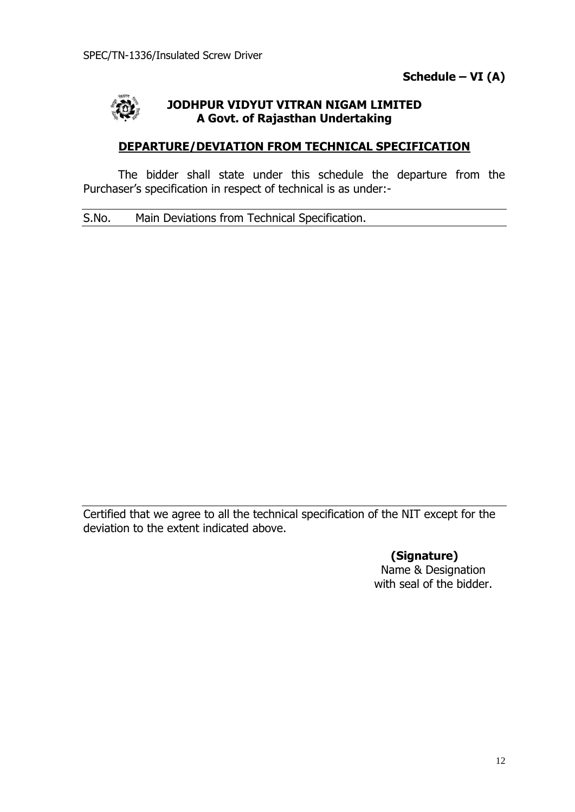

# **JODHPUR VIDYUT VITRAN NIGAM LIMITED A Govt. of Rajasthan Undertaking**

# **DEPARTURE/DEVIATION FROM TECHNICAL SPECIFICATION**

The bidder shall state under this schedule the departure from the Purchaser's specification in respect of technical is as under:-

S.No. Main Deviations from Technical Specification.

Certified that we agree to all the technical specification of the NIT except for the deviation to the extent indicated above.

> **(Signature)** Name & Designation with seal of the bidder.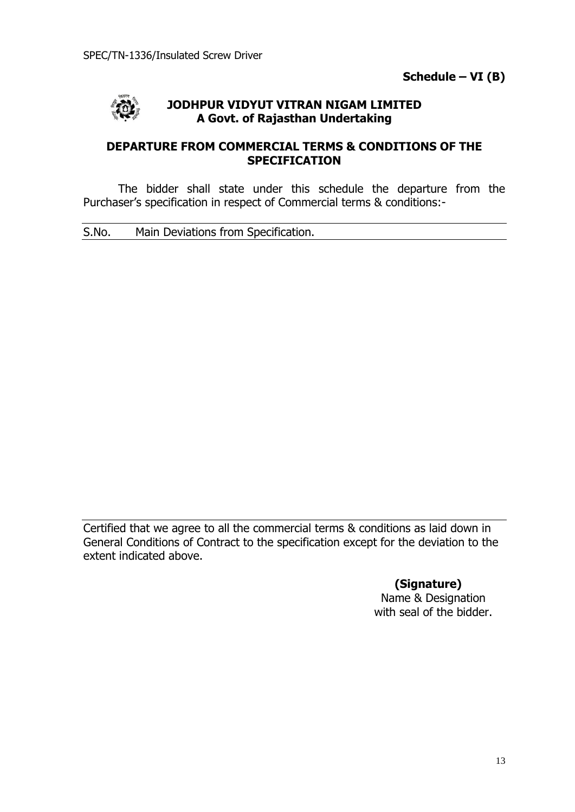

# **JODHPUR VIDYUT VITRAN NIGAM LIMITED A Govt. of Rajasthan Undertaking**

# **DEPARTURE FROM COMMERCIAL TERMS & CONDITIONS OF THE SPECIFICATION**

The bidder shall state under this schedule the departure from the Purchaser's specification in respect of Commercial terms & conditions:-

S.No. Main Deviations from Specification.

Certified that we agree to all the commercial terms & conditions as laid down in General Conditions of Contract to the specification except for the deviation to the extent indicated above.

# **(Signature)**

Name & Designation with seal of the bidder.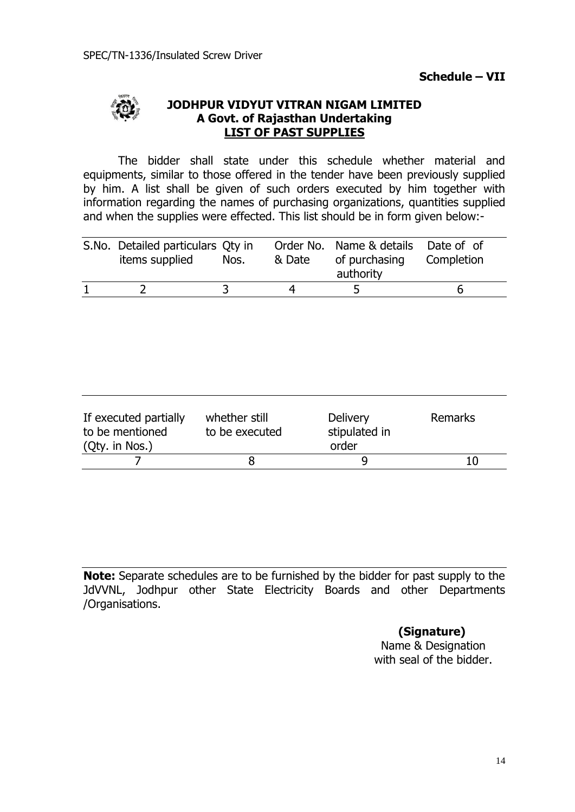**Schedule – VII**



# **JODHPUR VIDYUT VITRAN NIGAM LIMITED A Govt. of Rajasthan Undertaking LIST OF PAST SUPPLIES**

The bidder shall state under this schedule whether material and equipments, similar to those offered in the tender have been previously supplied by him. A list shall be given of such orders executed by him together with information regarding the names of purchasing organizations, quantities supplied and when the supplies were effected. This list should be in form given below:-

| S.No. Detailed particulars Qty in<br>items supplied | Nos. | & Date | Order No. Name & details Date of of<br>of purchasing<br>authority | Completion |
|-----------------------------------------------------|------|--------|-------------------------------------------------------------------|------------|
|                                                     |      |        |                                                                   | h          |

| If executed partially<br>to be mentioned<br>(Qty. in Nos.) | whether still<br>to be executed | <b>Delivery</b><br>stipulated in<br>order | Remarks |
|------------------------------------------------------------|---------------------------------|-------------------------------------------|---------|
|                                                            |                                 |                                           | 10      |

**Note:** Separate schedules are to be furnished by the bidder for past supply to the JdVVNL, Jodhpur other State Electricity Boards and other Departments /Organisations.

**(Signature)**

Name & Designation with seal of the bidder.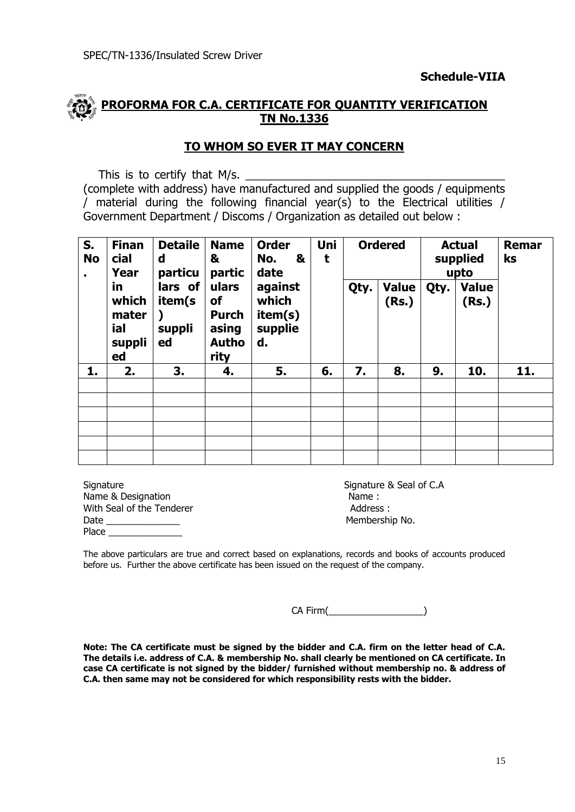# **PROFORMA FOR C.A. CERTIFICATE FOR QUANTITY VERIFICATION TN No.1336**

# **TO WHOM SO EVER IT MAY CONCERN**

This is to certify that M/s.

(complete with address) have manufactured and supplied the goods / equipments / material during the following financial year(s) to the Electrical utilities / Government Department / Discoms / Organization as detailed out below :

| S.<br><b>No</b><br>cial | <b>Finan</b><br>Year                         | <b>Detaile</b><br>&<br>d<br>particu | <b>Name</b><br>partic                                        | <b>Order</b><br>No.<br>&<br>date<br>against<br>which<br>item(s)<br>supplie<br>d. | Uni<br>t | <b>Ordered</b> |                       | <b>Actual</b><br>supplied<br>upto |                       | Remar<br>ks |
|-------------------------|----------------------------------------------|-------------------------------------|--------------------------------------------------------------|----------------------------------------------------------------------------------|----------|----------------|-----------------------|-----------------------------------|-----------------------|-------------|
|                         | in.<br>which<br>mater<br>ial<br>suppli<br>ed | lars of<br>item(s<br>suppli<br>ed   | ulars<br>of<br><b>Purch</b><br>asing<br><b>Autho</b><br>rity |                                                                                  |          | Qty.           | <b>Value</b><br>(Rs.) | Qty.                              | <b>Value</b><br>(Rs.) |             |
| 1.                      | 2.                                           | 3.                                  | 4.                                                           | 5.                                                                               | 6.       | 7.             | 8.                    | 9.                                | 10.                   | 11.         |
|                         |                                              |                                     |                                                              |                                                                                  |          |                |                       |                                   |                       |             |
|                         |                                              |                                     |                                                              |                                                                                  |          |                |                       |                                   |                       |             |
|                         |                                              |                                     |                                                              |                                                                                  |          |                |                       |                                   |                       |             |
|                         |                                              |                                     |                                                              |                                                                                  |          |                |                       |                                   |                       |             |
|                         |                                              |                                     |                                                              |                                                                                  |          |                |                       |                                   |                       |             |
|                         |                                              |                                     |                                                              |                                                                                  |          |                |                       |                                   |                       |             |

Signature **Signature 3** Seal of C.A Name & Designation Name : With Seal of the Tenderer **Address** : Date **Date Date Numbership No. Membership No. Membership No.** Place

The above particulars are true and correct based on explanations, records and books of accounts produced before us. Further the above certificate has been issued on the request of the company.

CA Firm(\_\_\_\_\_\_\_\_\_\_\_\_\_\_\_\_\_\_)

**Note: The CA certificate must be signed by the bidder and C.A. firm on the letter head of C.A. The details i.e. address of C.A. & membership No. shall clearly be mentioned on CA certificate. In case CA certificate is not signed by the bidder/ furnished without membership no. & address of C.A. then same may not be considered for which responsibility rests with the bidder.**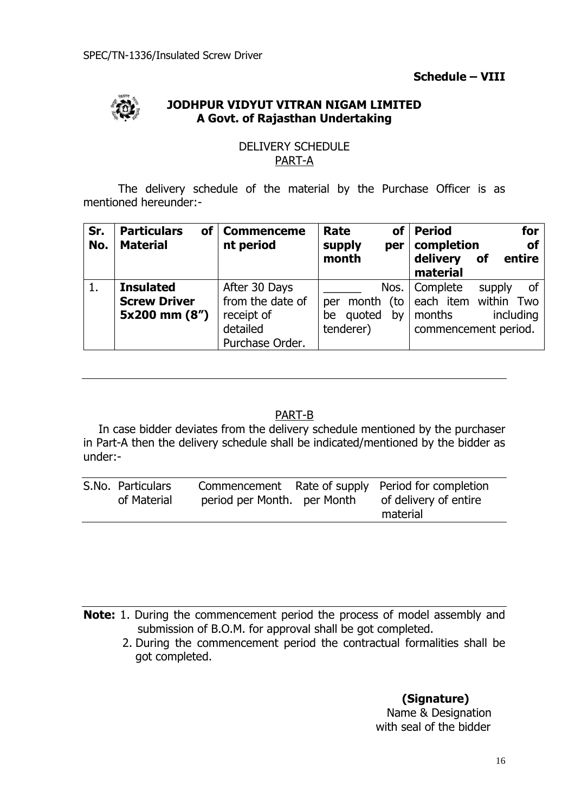**Schedule – VIII**



# **JODHPUR VIDYUT VITRAN NIGAM LIMITED A Govt. of Rajasthan Undertaking**

# DELIVERY SCHEDULE PART-A

The delivery schedule of the material by the Purchase Officer is as mentioned hereunder:-

| Sr.<br>No. | <b>Particulars</b><br>of l<br><b>Material</b> | <b>Commenceme</b><br>nt period | Rate<br><b>of</b><br>supply<br>per<br>month | <b>Period</b><br>for<br><b>of</b><br>completion<br>delivery<br>entire<br>of<br>material |  |
|------------|-----------------------------------------------|--------------------------------|---------------------------------------------|-----------------------------------------------------------------------------------------|--|
|            | <b>Insulated</b>                              | After 30 Days                  | Nos.                                        | Complete<br>οf<br>supply                                                                |  |
|            | <b>Screw Driver</b>                           | from the date of               | (to<br>month<br>per                         | each item within<br>Two                                                                 |  |
|            | 5x200 mm (8")                                 | receipt of                     | quoted<br>bv<br>be                          | months<br>including                                                                     |  |
|            |                                               | detailed                       | tenderer)                                   | commencement period.                                                                    |  |
|            |                                               | Purchase Order.                |                                             |                                                                                         |  |

# PART-B

In case bidder deviates from the delivery schedule mentioned by the purchaser in Part-A then the delivery schedule shall be indicated/mentioned by the bidder as under:-

| S.No. Particulars | of Material | period per Month. per Month | Commencement Rate of supply Period for completion<br>of delivery of entire<br>material |
|-------------------|-------------|-----------------------------|----------------------------------------------------------------------------------------|
|                   |             |                             |                                                                                        |

**Note:** 1. During the commencement period the process of model assembly and submission of B.O.M. for approval shall be got completed.

2. During the commencement period the contractual formalities shall be got completed.

# **(Signature)**

 Name & Designation with seal of the bidder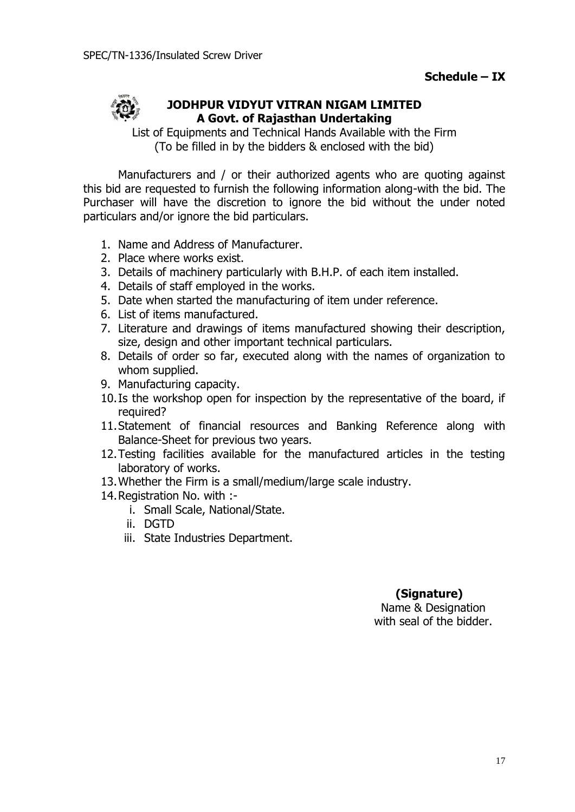

# **JODHPUR VIDYUT VITRAN NIGAM LIMITED A Govt. of Rajasthan Undertaking**

List of Equipments and Technical Hands Available with the Firm (To be filled in by the bidders & enclosed with the bid)

Manufacturers and / or their authorized agents who are quoting against this bid are requested to furnish the following information along-with the bid. The Purchaser will have the discretion to ignore the bid without the under noted particulars and/or ignore the bid particulars.

- 1. Name and Address of Manufacturer.
- 2. Place where works exist.
- 3. Details of machinery particularly with B.H.P. of each item installed.
- 4. Details of staff employed in the works.
- 5. Date when started the manufacturing of item under reference.
- 6. List of items manufactured.
- 7. Literature and drawings of items manufactured showing their description, size, design and other important technical particulars.
- 8. Details of order so far, executed along with the names of organization to whom supplied.
- 9. Manufacturing capacity.
- 10.Is the workshop open for inspection by the representative of the board, if required?
- 11.Statement of financial resources and Banking Reference along with Balance-Sheet for previous two years.
- 12.Testing facilities available for the manufactured articles in the testing laboratory of works.
- 13.Whether the Firm is a small/medium/large scale industry.
- 14.Registration No. with :
	- i. Small Scale, National/State.
	- ii. DGTD
	- iii. State Industries Department.

# **(Signature)**

Name & Designation with seal of the bidder.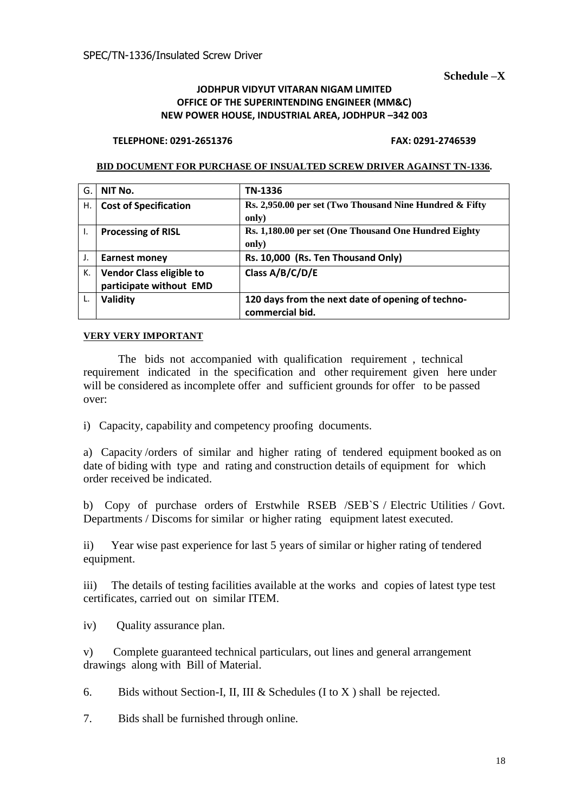**Schedule –X**

#### **JODHPUR VIDYUT VITARAN NIGAM LIMITED OFFICE OF THE SUPERINTENDING ENGINEER (MM&C) NEW POWER HOUSE, INDUSTRIAL AREA, JODHPUR –342 003**

#### **TELEPHONE: 0291-2651376 FAX: 0291-2746539**

#### **BID DOCUMENT FOR PURCHASE OF INSUALTED SCREW DRIVER AGAINST TN-1336.**

| G. | NIT No.                                                    | TN-1336                                                              |
|----|------------------------------------------------------------|----------------------------------------------------------------------|
| Н. | <b>Cost of Specification</b>                               | Rs. 2,950.00 per set (Two Thousand Nine Hundred & Fifty              |
|    |                                                            | only)                                                                |
| Ι. | <b>Processing of RISL</b>                                  | Rs. 1,180.00 per set (One Thousand One Hundred Eighty                |
|    |                                                            | only)                                                                |
| J. | <b>Earnest money</b>                                       | Rs. 10,000 (Rs. Ten Thousand Only)                                   |
| К. | <b>Vendor Class eligible to</b><br>participate without EMD | Class A/B/C/D/E                                                      |
| L. | Validity                                                   | 120 days from the next date of opening of techno-<br>commercial bid. |

#### **VERY VERY IMPORTANT**

 The bids not accompanied with qualification requirement , technical requirement indicated in the specification and other requirement given here under will be considered as incomplete offer and sufficient grounds for offer to be passed over:

i) Capacity, capability and competency proofing documents.

a) Capacity /orders of similar and higher rating of tendered equipment booked as on date of biding with type and rating and construction details of equipment for which order received be indicated.

b) Copy of purchase orders of Erstwhile RSEB /SEB`S / Electric Utilities / Govt. Departments / Discoms for similar or higher rating equipment latest executed.

ii) Year wise past experience for last 5 years of similar or higher rating of tendered equipment.

iii) The details of testing facilities available at the works and copies of latest type test certificates, carried out on similar ITEM.

iv) Quality assurance plan.

v) Complete guaranteed technical particulars, out lines and general arrangement drawings along with Bill of Material.

6. Bids without Section-I, II, III & Schedules  $(I \text{ to } X)$  shall be rejected.

7. Bids shall be furnished through online.